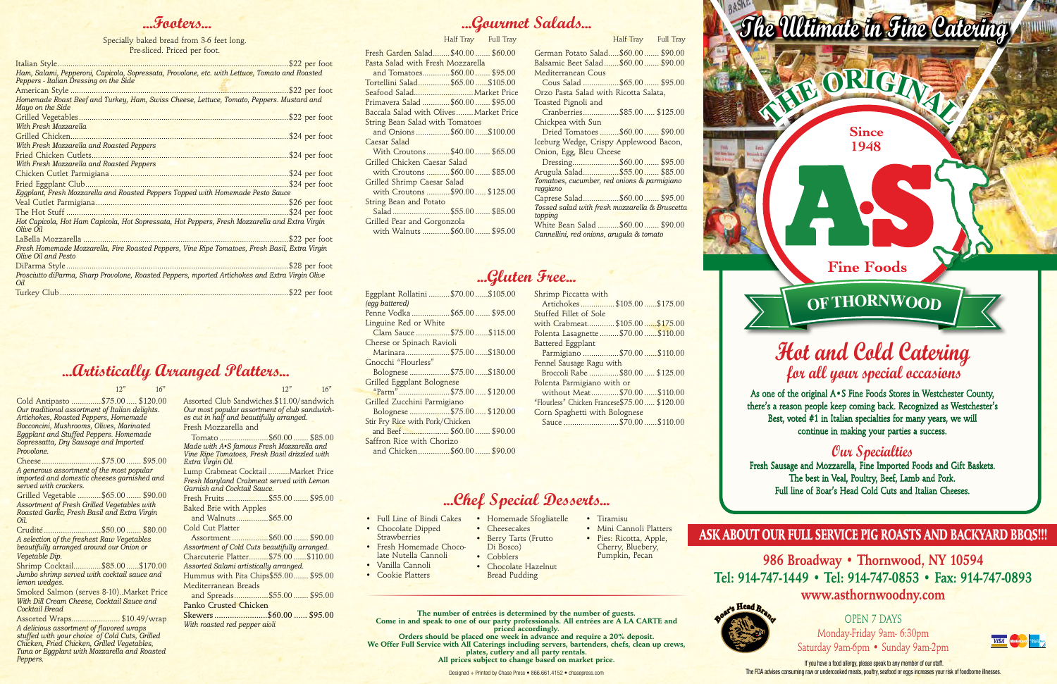# **Hot and Cold Catering for all your special occasions**

As one of the original A•S Fine Foods Stores in Westchester County, there's a reason people keep coming back. Recognized as Westchester's Best, voted #1 in Italian specialties for many years, we will continue in making your parties a success.

If you have a food allergy, please speak to any member of our staff. The FDA advises consuming raw or undercooked meats, poultry, seafood or eggs increases your risk of foodborne illnesses.

#### **Our Specialties**

Fresh Sausage and Mozzarella, Fine Imported Foods and Gift Baskets. The best in Veal, Poultry, Beef, Lamb and Pork. Full line of Boar's Head Cold Cuts and Italian Cheeses.

**986 Broadway • Thornwood, NY 10594 Tel: 914-747-1449 • Tel: 914-747-0853 • Fax: 914-747-0893 www.asthornwoodny.com**

> OPEN 7 DAYS Monday-Friday 9am- 6:30pm Saturday 9am-6pm • Sunday 9am-2pm



# **...Chef Special Desserts...**

- Full Line of Bindi Cakes
- Chocolate Dipped
- **Strawberries**
- Fresh Homemade Chocolate Nutella Cannoli
- 
- 

• Vanilla Cannoli • Cookie Platters

• Homemade Sfogliatelle

- Cheesecakes • Berry Tarts (Frutto
- Di Bosco)
- Cobblers
- Bread Pudding

• Chocolate Hazelnut

• Tiramisu

• Mini Cannoli Platters • Pies: Ricotta, Apple, Cherry, Bluebery, Pumpkin, Pecan

#### **...Footers...**

| Ham, Salami, Pepperoni, Capicola, Sopressata, Provolone, etc. with Lettuce, Tomato and Roasted<br>Peppers - Italian Dressing on the Side |               |
|------------------------------------------------------------------------------------------------------------------------------------------|---------------|
|                                                                                                                                          |               |
| Homemade Roast Beef and Turkey, Ham, Swiss Cheese, Lettuce, Tomato, Peppers. Mustard and<br>Mayo on the Side                             |               |
|                                                                                                                                          |               |
| With Fresh Mozzarella                                                                                                                    |               |
|                                                                                                                                          |               |
| With Fresh Mozzarella and Roasted Peppers                                                                                                |               |
|                                                                                                                                          |               |
| With Fresh Mozzarella and Roasted Peppers                                                                                                |               |
|                                                                                                                                          |               |
|                                                                                                                                          |               |
| Eggplant, Fresh Mozzarella and Roasted Peppers Topped with Homemade Pesto Sauce                                                          |               |
|                                                                                                                                          |               |
|                                                                                                                                          |               |
| Hot Capicola, Hot Ham Capicola, Hot Sopressata, Hot Peppers, Fresh Mozzarella and Extra Virgin<br>Olive Oil                              |               |
|                                                                                                                                          |               |
| Fresh Homemade Mozzarella, Fire Roasted Peppers, Vine Ripe Tomatoes, Fresh Basil, Extra Virgin<br>Olive Oil and Pesto                    |               |
|                                                                                                                                          | \$28 per foot |
| Prosciutto diParma, Sharp Provolone, Roasted Peppers, mported Artichokes and Extra Virgin Olive<br>Oil.                                  |               |
|                                                                                                                                          |               |

Specially baked bread from 3-6 feet long. Pre-sliced. Priced per foot.

Designed + Printed by Chase Press • 866.661.4152 • chasepress.com





# **...Gluten Free...**

Fresh Garden Salad........\$40.00 ....... \$60.00 Pasta Salad with Fresh Mozzarella and Tomatoes.............\$60.00 ....... \$95.00 Tortellini Salad...............\$65.00 ......\$105.00 Seafood Salad............................Market Price Primavera Salad .............\$60.00 ....... \$95.00 Baccala Salad with Olives........Market Price String Bean Salad with Tomatoes and Onions ................\$60.00 ......\$100.00 Caesar Salad With Croutons...........\$40.00 ....... \$65.00 Grilled Chicken Caesar Salad with Croutons ...........\$60.00 ....... \$85.00 Grilled Shrimp Caesar Salad with Croutons ........... \$90.00 ..... \$125.00 String Bean and Potato Salad ...........................\$55.00 ....... \$85.00 Grilled Pear and Gorgonzola with Walnuts .............\$60.00 ....... \$95.00 Half Tray Full Tray

| Eggplant Rollatini \$70.00 \$105.00 |
|-------------------------------------|
| (egg battered)                      |
| Penne Vodka \$65.00  \$95.00        |
| Linguine Red or White               |
| Clam Sauce \$75.00 \$115.00         |
| Cheese or Spinach Ravioli           |
| Marinara\$75.00\$130.00             |
| Gnocchi "Flourless"                 |
| Bolognese \$75.00 \$130.00          |
| Grilled Eggplant Bolognese          |
| "Parm"\$75.00 \$120.00              |
| Grilled Zucchini Parmigiano         |
| Bolognese \$75.00\$120.00           |
| Stir Fry Rice with Pork/Chicken     |
|                                     |
| Saffron Rice with Chorizo           |
| and Chicken\$60.00 \$90.00          |
|                                     |

| Shrimp Piccatta with                         |
|----------------------------------------------|
| Artichokes\$105.00\$175.00                   |
| Stuffed Fillet of Sole                       |
| with Crabmeat\$105.00\$175.00                |
| Polenta Lasagnette  \$70.00  \$110.00        |
| Battered Eggplant                            |
| Parmigiano \$70.00  \$110.00                 |
| Fennel Sausage Ragu with                     |
| Broccoli Rabe \$80.00  \$125.00              |
| Polenta Parmigiano with or                   |
| without Meat\$70.00\$110.00                  |
| "Flourless" Chicken Francese\$75.00 \$120.00 |
| Corn Spaghetti with Bolognese                |
| Sauce \$70.00 \$110.00                       |
|                                              |
|                                              |



**The number of entrées is determined by the number of guests. Come in and speak to one of our party professionals. All entrées are A LA CARTE and priced accordingly.** 

**Orders should be placed one week in advance and require a 20% deposit. We Offer Full Service with All Caterings including servers, bartenders, chefs, clean up crews, plates, cutlery and all party rentals. All prices subject to change based on market price.**

#### **...Artistically Arranged Platters...**

 $12"$  16" 12" 16"

Cold Antipasto ..............\$75.00 ..... \$120.00 *Our traditional assortment of Italian delights. Artichokes, Roasted Peppers, Homemade Bocconcini, Mushrooms, Olives, Marinated Eggplant and Stuffed Peppers. Homemade Sopressatta, Dry Sausage and Imported Provolone.*

| A generous assortment of the most popular   |  |
|---------------------------------------------|--|
| imported and domestic cheeses garnished and |  |
| served with crackers.                       |  |

Grilled Vegetable ...........\$65.00 ....... \$90.00 *Assortment of Fresh Grilled Vegetables with Roasted Garlic, Fresh Basil and Extra Virgin Oil.*

Crudité ...........................\$50.00 ....... \$80.00 *A selection of the freshest Raw Vegetables beautifully arranged around our Onion or Vegetable Dip.*

Shrimp Cocktail.............\$85.00 ......\$170.00 *Jumbo shrimp served with cocktail sauce and lemon wedges.*

Smoked Salmon (serves 8-10)..Market Price *With Dill Cream Cheese, Cocktail Sauce and Cocktail Bread*

Assorted Wraps....................... \$10.49/wrap *A delicious assortment of flavored wraps stuffed with your choice of Cold Cuts, Grilled Chicken, Fried Chicken, Grilled Vegetables, Tuna or Eggplant with Mozzarella and Roasted Peppers.*

Assorted Club Sandwiches.\$11.00/sandwich *Our most popular assortment of club sandwiches cut in half and beautifully arranged.* Fresh Mozzarella and

 Tomato .......................\$60.00 ....... \$85.00 *Made with A•S famous Fresh Mozzarella and Vine Ripe Tomatoes, Fresh Basil drizzled with Extra Virgin Oil.*

Lump Crabmeat Cocktail ..........Market Price *Fresh Maryland Crabmeat served with Lemon Garnish and Cocktail Sauce.*

Fresh Fruits ....................\$55.00 ....... \$95.00 Baked Brie with Apples

and Walnuts...............\$65.00

Cold Cut Platter

 Assortment .................\$60.00 ....... \$90.00 *Assortment of Cold Cuts beautifully arranged.* Charcuterie Platter.........\$75.00 ......\$110.00 *Assorted Salami artistically arranged.* Hummus with Pita Chips\$55.00....... \$95.00

Mediterranean Breads and Spreads................\$55.00 ....... \$95.00

Panko Crusted Chicken Skewers........................\$60.00 ...... \$95.00

*With roasted red pepper aioli*

#### ASK ABOUT OUR FULL SERVICE PIG ROASTS AND BACKYARD BBQS!!!

# **...Gourmet Salads...**

| ouuus                                                   |                     |
|---------------------------------------------------------|---------------------|
|                                                         | Half Tray Full Tray |
| German Potato Salad\$60.00  \$90.00                     |                     |
| Balsamic Beet Salad  \$60.00  \$90.00                   |                     |
| <b>Mediterranean Cous</b>                               |                     |
| Cous Salad \$65.00  \$95.00                             |                     |
| Orzo Pasta Salad with Ricotta Salata,                   |                     |
| Toasted Pignoli and                                     |                     |
| Cranberries\$85.00 \$125.00                             |                     |
| Chickpea with Sun                                       |                     |
| Dried Tomatoes  \$60.00  \$90.00                        |                     |
| Iceburg Wedge, Crispy Applewood Bacon,                  |                     |
| Onion, Egg, Bleu Cheese                                 |                     |
| Dressing\$60.00 \$95.00                                 |                     |
| Arugula Salad\$55.00 \$85.00                            |                     |
|                                                         |                     |
| Tomatoes, cucumber, red onions & parmigiano<br>reggiano |                     |
| Caprese Salad\$60.00 \$95.00                            |                     |
| Tossed salad with fresh mozzarella & Bruscetta          |                     |
| topping                                                 |                     |
| White Bean Salad  \$60.00  \$90.00                      |                     |
| Cannellini, red onions, arugula & tomato                |                     |